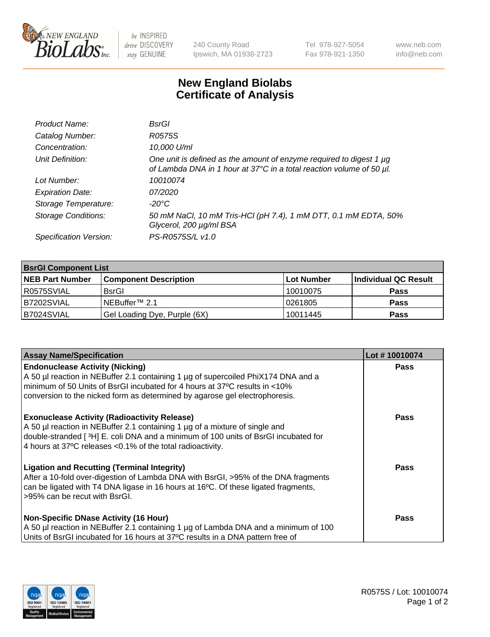

 $be$  INSPIRED drive DISCOVERY stay GENUINE

240 County Road Ipswich, MA 01938-2723 Tel 978-927-5054 Fax 978-921-1350 www.neb.com info@neb.com

## **New England Biolabs Certificate of Analysis**

| Product Name:              | BsrGl                                                                                                                                            |
|----------------------------|--------------------------------------------------------------------------------------------------------------------------------------------------|
| Catalog Number:            | R0575S                                                                                                                                           |
| Concentration:             | 10,000 U/ml                                                                                                                                      |
| Unit Definition:           | One unit is defined as the amount of enzyme required to digest 1 $\mu$ g<br>of Lambda DNA in 1 hour at 37°C in a total reaction volume of 50 µl. |
| Lot Number:                | 10010074                                                                                                                                         |
| <b>Expiration Date:</b>    | 07/2020                                                                                                                                          |
| Storage Temperature:       | -20°C                                                                                                                                            |
| <b>Storage Conditions:</b> | 50 mM NaCl, 10 mM Tris-HCl (pH 7.4), 1 mM DTT, 0.1 mM EDTA, 50%<br>Glycerol, 200 µg/ml BSA                                                       |
| Specification Version:     | PS-R0575S/L v1.0                                                                                                                                 |

| <b>BsrGI Component List</b> |                              |             |                      |  |
|-----------------------------|------------------------------|-------------|----------------------|--|
| <b>NEB Part Number</b>      | <b>Component Description</b> | ∣Lot Number | Individual QC Result |  |
| I R0575SVIAL                | <b>BsrGI</b>                 | 10010075    | <b>Pass</b>          |  |
| B7202SVIAL                  | l NEBuffer™ 2.1              | 10261805    | <b>Pass</b>          |  |
| B7024SVIAL                  | Gel Loading Dye, Purple (6X) | 10011445    | <b>Pass</b>          |  |

| <b>Assay Name/Specification</b>                                                                                                                                                    | Lot #10010074 |
|------------------------------------------------------------------------------------------------------------------------------------------------------------------------------------|---------------|
| <b>Endonuclease Activity (Nicking)</b>                                                                                                                                             | <b>Pass</b>   |
| A 50 µl reaction in NEBuffer 2.1 containing 1 µg of supercoiled PhiX174 DNA and a<br>minimum of 50 Units of BsrGI incubated for 4 hours at 37°C results in <10%                    |               |
| conversion to the nicked form as determined by agarose gel electrophoresis.                                                                                                        |               |
| <b>Exonuclease Activity (Radioactivity Release)</b>                                                                                                                                | Pass          |
| A 50 µl reaction in NEBuffer 2.1 containing 1 µg of a mixture of single and<br>double-stranded [3H] E. coli DNA and a minimum of 100 units of BsrGI incubated for                  |               |
| 4 hours at 37°C releases < 0.1% of the total radioactivity.                                                                                                                        |               |
| <b>Ligation and Recutting (Terminal Integrity)</b>                                                                                                                                 | Pass          |
| After a 10-fold over-digestion of Lambda DNA with BsrGI, >95% of the DNA fragments<br>can be ligated with T4 DNA ligase in 16 hours at 16 $\degree$ C. Of these ligated fragments, |               |
| l >95% can be recut with BsrGI.                                                                                                                                                    |               |
| <b>Non-Specific DNase Activity (16 Hour)</b>                                                                                                                                       | <b>Pass</b>   |
| A 50 µl reaction in NEBuffer 2.1 containing 1 µg of Lambda DNA and a minimum of 100                                                                                                |               |
| Units of BsrGI incubated for 16 hours at 37°C results in a DNA pattern free of                                                                                                     |               |